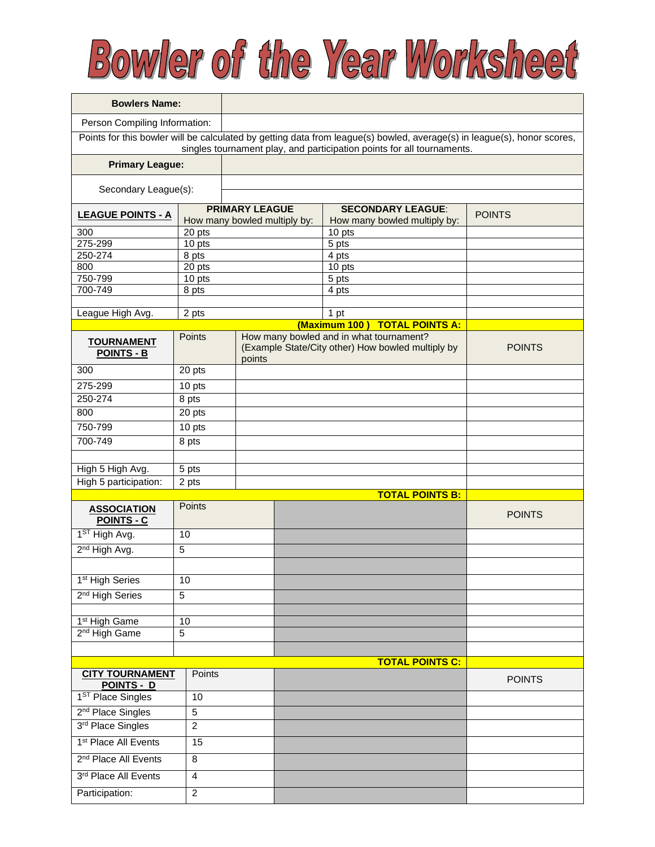## Bowler of the Year Worksheet

| <b>Bowlers Name:</b>                                                                                                                                                                              |                  |                              |  |                                                   |               |  |  |  |  |
|---------------------------------------------------------------------------------------------------------------------------------------------------------------------------------------------------|------------------|------------------------------|--|---------------------------------------------------|---------------|--|--|--|--|
| Person Compiling Information:                                                                                                                                                                     |                  |                              |  |                                                   |               |  |  |  |  |
| Points for this bowler will be calculated by getting data from league(s) bowled, average(s) in league(s), honor scores,<br>singles tournament play, and participation points for all tournaments. |                  |                              |  |                                                   |               |  |  |  |  |
| <b>Primary League:</b>                                                                                                                                                                            |                  |                              |  |                                                   |               |  |  |  |  |
| Secondary League(s):                                                                                                                                                                              |                  |                              |  |                                                   |               |  |  |  |  |
|                                                                                                                                                                                                   |                  | <b>PRIMARY LEAGUE</b>        |  | <b>SECONDARY LEAGUE:</b>                          | <b>POINTS</b> |  |  |  |  |
| <b>LEAGUE POINTS - A</b>                                                                                                                                                                          |                  | How many bowled multiply by: |  | How many bowled multiply by:                      |               |  |  |  |  |
| 300<br>275-299                                                                                                                                                                                    | 20 pts<br>10 pts |                              |  | 10 pts<br>5 pts                                   |               |  |  |  |  |
| 250-274                                                                                                                                                                                           | 8 pts            |                              |  | 4 pts                                             |               |  |  |  |  |
| 800                                                                                                                                                                                               | 20 pts           |                              |  | 10 pts                                            |               |  |  |  |  |
| 750-799                                                                                                                                                                                           | 10 pts           |                              |  | 5 pts                                             |               |  |  |  |  |
| 700-749                                                                                                                                                                                           | 8 pts            |                              |  | 4 pts                                             |               |  |  |  |  |
|                                                                                                                                                                                                   |                  |                              |  |                                                   |               |  |  |  |  |
| League High Avg.                                                                                                                                                                                  | 2 pts            |                              |  | 1 pt<br>(Maximum 100) TOTAL POINTS A:             |               |  |  |  |  |
|                                                                                                                                                                                                   | <b>Points</b>    |                              |  | How many bowled and in what tournament?           |               |  |  |  |  |
| <b>TOURNAMENT</b><br><b>POINTS - B</b>                                                                                                                                                            |                  | points                       |  | (Example State/City other) How bowled multiply by | <b>POINTS</b> |  |  |  |  |
| 300                                                                                                                                                                                               | 20 pts           |                              |  |                                                   |               |  |  |  |  |
| 275-299                                                                                                                                                                                           | 10 pts           |                              |  |                                                   |               |  |  |  |  |
| 250-274                                                                                                                                                                                           | 8 pts            |                              |  |                                                   |               |  |  |  |  |
| 800                                                                                                                                                                                               | 20 pts           |                              |  |                                                   |               |  |  |  |  |
| 750-799                                                                                                                                                                                           | 10 pts           |                              |  |                                                   |               |  |  |  |  |
| 700-749                                                                                                                                                                                           | 8 pts            |                              |  |                                                   |               |  |  |  |  |
|                                                                                                                                                                                                   |                  |                              |  |                                                   |               |  |  |  |  |
| High 5 High Avg.                                                                                                                                                                                  | 5 pts            |                              |  |                                                   |               |  |  |  |  |
| High 5 participation:                                                                                                                                                                             | 2 pts            |                              |  | <b>TOTAL POINTS B:</b>                            |               |  |  |  |  |
| <b>ASSOCIATION</b><br><b>POINTS - C</b>                                                                                                                                                           | Points           |                              |  |                                                   | <b>POINTS</b> |  |  |  |  |
| 1 <sup>ST</sup> High Avg.                                                                                                                                                                         | 10               |                              |  |                                                   |               |  |  |  |  |
| 2 <sup>nd</sup> High Avg.                                                                                                                                                                         | 5                |                              |  |                                                   |               |  |  |  |  |
|                                                                                                                                                                                                   |                  |                              |  |                                                   |               |  |  |  |  |
| 1 <sup>st</sup> High Series                                                                                                                                                                       | 10               |                              |  |                                                   |               |  |  |  |  |
| 2 <sup>nd</sup> High Series                                                                                                                                                                       | 5                |                              |  |                                                   |               |  |  |  |  |
|                                                                                                                                                                                                   |                  |                              |  |                                                   |               |  |  |  |  |
| 1 <sup>st</sup> High Game<br>2 <sup>nd</sup> High Game                                                                                                                                            | 5                | 10                           |  |                                                   |               |  |  |  |  |
|                                                                                                                                                                                                   |                  |                              |  |                                                   |               |  |  |  |  |
|                                                                                                                                                                                                   |                  |                              |  | <b>TOTAL POINTS C:</b>                            |               |  |  |  |  |
| <b>CITY TOURNAMENT</b>                                                                                                                                                                            | Points           |                              |  |                                                   |               |  |  |  |  |
| POINTS - D                                                                                                                                                                                        |                  |                              |  |                                                   | <b>POINTS</b> |  |  |  |  |
| 1 <sup>ST</sup> Place Singles<br>10                                                                                                                                                               |                  |                              |  |                                                   |               |  |  |  |  |
| 2 <sup>nd</sup> Place Singles<br>5                                                                                                                                                                |                  |                              |  |                                                   |               |  |  |  |  |
| 3rd Place Singles<br>$\overline{c}$                                                                                                                                                               |                  |                              |  |                                                   |               |  |  |  |  |
| 1 <sup>st</sup> Place All Events<br>15                                                                                                                                                            |                  |                              |  |                                                   |               |  |  |  |  |
| 2 <sup>nd</sup> Place All Events<br>8                                                                                                                                                             |                  |                              |  |                                                   |               |  |  |  |  |
| 3rd Place All Events<br>4                                                                                                                                                                         |                  |                              |  |                                                   |               |  |  |  |  |
| Participation:<br>$\overline{2}$                                                                                                                                                                  |                  |                              |  |                                                   |               |  |  |  |  |